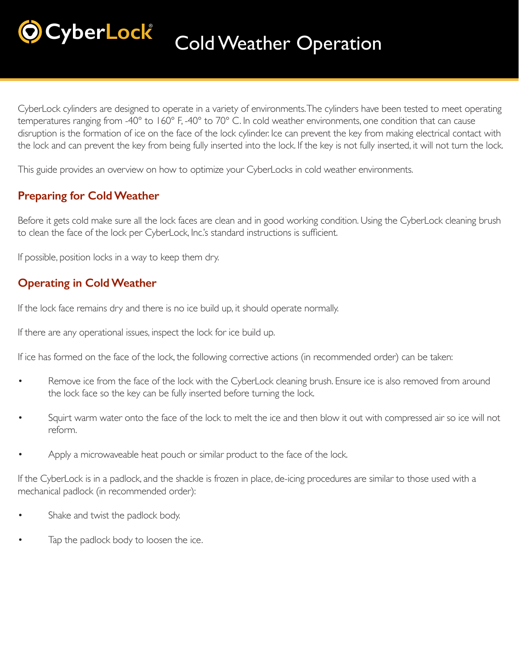# **CyberLock** Cold Weather Operation

CyberLock cylinders are designed to operate in a variety of environments. The cylinders have been tested to meet operating temperatures ranging from -40° to 160° F, -40° to 70° C. In cold weather environments, one condition that can cause disruption is the formation of ice on the face of the lock cylinder. Ice can prevent the key from making electrical contact with the lock and can prevent the key from being fully inserted into the lock. If the key is not fully inserted, it will not turn the lock.

This guide provides an overview on how to optimize your CyberLocks in cold weather environments.

# **Preparing for Cold Weather**

Before it gets cold make sure all the lock faces are clean and in good working condition. Using the CyberLock cleaning brush to clean the face of the lock per CyberLock, Inc.'s standard instructions is sufficient.

If possible, position locks in a way to keep them dry.

### **Operating in Cold Weather**

If the lock face remains dry and there is no ice build up, it should operate normally.

If there are any operational issues, inspect the lock for ice build up.

If ice has formed on the face of the lock, the following corrective actions (in recommended order) can be taken:

- Remove ice from the face of the lock with the CyberLock cleaning brush. Ensure ice is also removed from around the lock face so the key can be fully inserted before turning the lock.
- Squirt warm water onto the face of the lock to melt the ice and then blow it out with compressed air so ice will not reform.
- Apply a microwaveable heat pouch or similar product to the face of the lock.

If the CyberLock is in a padlock, and the shackle is frozen in place, de-icing procedures are similar to those used with a mechanical padlock (in recommended order):

- Shake and twist the padlock body.
- Tap the padlock body to loosen the ice.